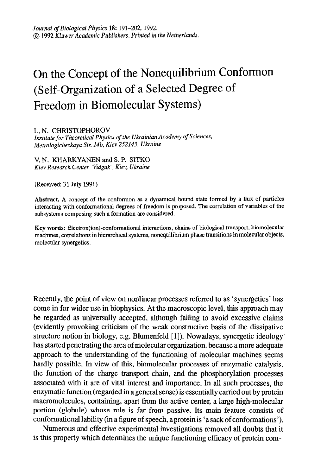## On the Concept of the Nonequilibrium Conformon (Self-Organization of a Selected Degree of Freedom in Biomolecular Systems)

L. N. CHRISTOPHOROV Institute for Theoretical Physics of the Ukrainian Academy of Sciences, Metrologicheskaya Str. 14b, Kiev 252143, Ukraine

V. N. KHARKYANEN and S. P. SITKO

Kiev Research Center 'Vidguk', Kiev, Ukraine

(Received: 31 July 1991)

Abstract. A concept of the conformon as a dynamical bound state formed by a flux of particles interacting with conformational degrees of freedom is proposed. The correlation of variables of the subsystems composing such a formation are considered.

Key words: Electron(ion)-conformational interactions, chains of biological transport, biomolecular machines, correlations in hierarchical systems, nonequilibrium phase transitions in molecular objects, molecular synergetics.

Recently, the point of view on nonlinear processes referred to as 'synergetics' has come in for wider use in biophysics. At the macroscopic level, this approach may be regarded as universally accepted, although failing to avoid excessive claims (evidently provoking criticism of the weak constructive basis of the dissipative structure notion in biology, e.g. Blumenfeld [I]). Nowadays, synergetic ideology has started penetrating the area of molecular organization, because a more adequate approach to the understanding of the functioning of molecular machines seems hardly possible. In view of this, biomolecular processes of enzymatic catalysis, the function of the charge transport chain, and the phosphorylation processes associated with it are of vital interest and importance. In all such processes, the enzymatic function (regarded in a general sense) is essentially carried out by protein macromolecules, containing, apart from the active center, a large high-molecular portion (globule) whose role is far from passive. Its main feature consists of conformational lability (in a figure of speech, a protein is 'a sack of conformations').

 $N_{\text{max}}$  and  $N_{\text{max}}$  is a neuron operator approximation abara of complemental it. is this property which determines the unique function and unique functioning efficiency of protein com-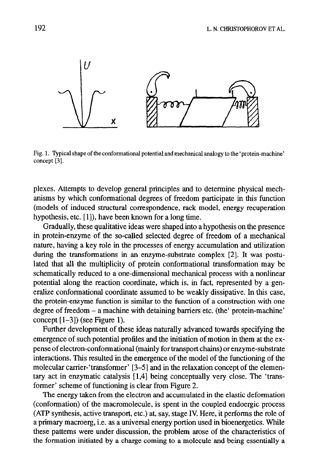

Fig. 1. Typical shape of the conformational potential and mechanical analogy to the 'protein-machine' concept [3].

plexes. Attempts to develop general principles and to determine physical mechanisms by which conformational degrees of freedom participate in this function (models of induced structural correspondence, rack model, energy recuperation hypothesis, etc. [1]), have been known for a long time.

Gradually, these qualitative ideas were shaped into a hypothesis on the presence in protein-enzyme of the so-called selected degree of freedom of a mechanical nature, having a key role in the processes of energy accumulation and utilization during the transformations in an enzyme-substrate complex [2]. It was postulated that all the multiplicity of protein conformational transformation may be schematically reduced to a one-dimensional mechanical process with a nonlinear potential along the reaction coordinate, which is, in fact, represented by a generalize conformational coordinate assumed to be weakly dissipative. In this case, the protein-enzyme function is similar to the function of a construction with one degree of freedom - a machine with detaining barriers etc. (the' protein-machine' concept [l-3]) (see Figure 1).

Further development of these ideas naturally advanced towards specifying the emergence of such potential profiles and the initiation of motion in them at the expense of electron-conformational (mainly for transport chains) or enzyme-substrate interactions. This resulted in the emergence of the model of the functioning of the molecular carrier-'transformer' [3-51 and in the relaxation concept of the elementary act in enzymatic catalysis [ 1,4] being conceptually very close. The 'transformer' scheme of functioning is clear from Figure 2. The energy taken from the electron and accumulated in the elastic deformation

(conformation) of the macromorelecule, is spect in the coupled endowed endowed (conformation) of the macromolecule, is spent in the coupled endoergic process (ATP synthesis, active transport, etc.) at, say, stage IV. Here, it performs the role of  $(211)$  syndicsis, acuve dansport, etc.) at, say, stage IV. Here, it performs are for the  $W$ a primary macrociz, i.e. as a universal energy potition ased in olderleagence. While these patterns were under discussion, the problem arose of the characteristics of the formation initiated by a charge coming to a molecule and being essentially a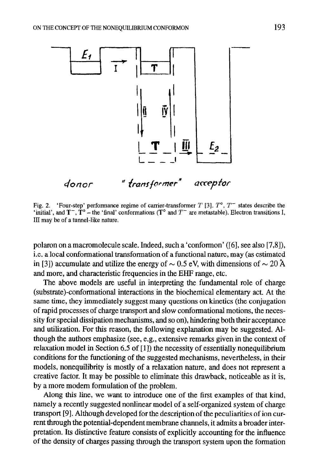

Fig. 2. 'Four-step' performance regime of carrier-transformer  $T$  [3],  $T^{\circ}$ ,  $T^{\circ}$  states describe the  $\mathbf{u}_i$ ,  $\mathbf{z}_i$ , and  $\mathbf{T}$ , To  $\mathbf{u}_i$  between the light conformations (T<sup>o</sup> and  $T$ ) are metastable). Electron transitions I,  $\mathbf{v}_i$ III may be of a tunnel-like nature.

polaron on a macromolecule scale. Indeed, such a 'conformon' ([6], see also [7,8]), i.e. a local conformational transformation of a functional nature, may (as estimated in [3]) accumulate and utilize the energy of  $\sim 0.5$  eV, with dimensions of  $\sim 20$  Å and more, and characteristic frequencies in the EHF range, etc.

The above models are useful in interpreting the fundamental role of charge (substrate)-conformational interactions in the biochemical elementary act. At the same time, they immediately suggest many questions on kinetics (the conjugation of rapid processes of charge transport and slow conformational motions, the necessity for special dissipation mechanisms, and so on), hindering both their acceptance and utilization. For this reason, the following explanation may be suggested. Although the authors emphasize (see, e.g., extensive remarks given in the context of relaxation model in Section  $6.5$  of  $[1]$ ) the necessity of essentially nonequilibrium conditions for the functioning of the suggested mechanisms, nevertheless, in their models, nonequilibrity is mostly of a relaxation nature, and does not represent a creative factor. It may be possible to eliminate this drawback, noticeable as it is, by a more modem formulation of the problem.

Along this line, we want to introduce one of the first examples of that kind, namely a recently suggested nonlinear model of a self-organized system of charge transport [9]. Although developed for the description of the peculiarities of ion current through the potential-dependent membrane channels, it admits a broader interpretation. Its distinctive feature consists of explicitly accounting for the influence of the density of charges passing through the transport system upon the formation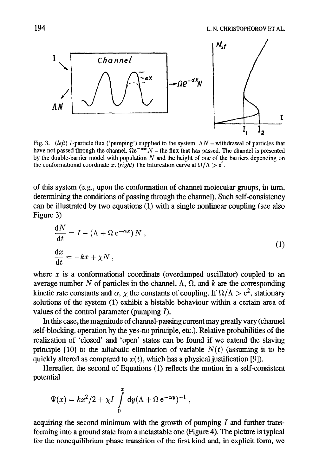

Fig. 3. (left) I-particle flux ('pumping') supplied to the system.  $\Lambda N$  – withdrawal of particles that have not passed through the channel.  $\tilde{\Omega}e^{-\alpha x}N$  – the flux that has passed. The channel is presented by the double-barrier model with population  $N$  and the height of one of the barriers depending on the conformational coordinate x. (right) The bifurcation curve at  $\Omega/\Lambda > e^2$ .

of this system (e.g., upon the conformation of channel molecular groups, in turn, determining the conditions of passing through the channel). Such self-consistency can be illustrated by two equations (1) with a single nonlinear coupling (see also Figure 3)

$$
\frac{dN}{dt} = I - (\Lambda + \Omega e^{-\alpha x}) N ,
$$
  
\n
$$
\frac{dx}{dt} = -kx + \chi N ,
$$
\n(1)

where  $x$  is a conformational coordinate (overdamped oscillator) coupled to an average number N of particles in the channel.  $\Lambda$ ,  $\Omega$ , and k are the corresponding kinetic rate constants and  $\alpha$ ,  $\chi$  the constants of coupling. If  $\Omega/\Lambda > e^2$ , stationary solutions of the system (1) exhibit a bistable behaviour within a certain area of values of the control parameter (pumping  $\Gamma$ ).

In this case, the magnitude of channel-passing current may greatly vary (channel self-blocking, operation by the yes-no principle, etc.). Relative probabilities of the realization of 'closed' and 'open' states can be found if we extend the slaving principle [10] to the adiabatic elimination of variable  $N(t)$  (assuming it to be quickly altered as compared to  $x(t)$ , which has a physical justification [9]).

Hereafter, the second of Equations (1) reflects the motion in a self-consistent potential

$$
\Psi(x) = kx^2/2 + \chi I \int_0^x dy (\Lambda + \Omega e^{-\alpha y})^{-1},
$$

acquiring the second minimum with the growth of pumping  $I$  and further transforming into a ground state from a metastable one (Figure 4). The picture is typical for the nonequilibrium phase transition of the first kind and, in explicit form, we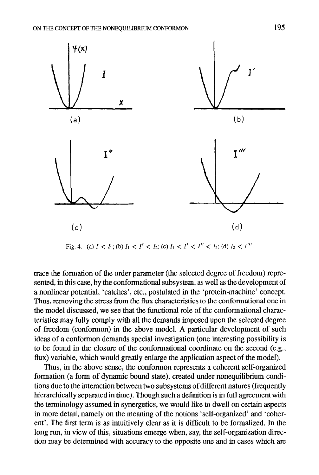

Fig. 4. (a)  $I < I_1$ ; (b)  $I_1 < I' < I_2$ ; (c)  $I_1 < I' < I'' < I_2$ ; (d)  $I_2 < I'''$ .

trace the formation of the order parameter (the selected degree of freedom) represented, in this case, by the conformational subsystem, as well as the development of a nonlinear potential, 'catches', etc., postulated in the 'protein-machine' concept. Thus, removing the stress from the flux characteristics to the conformational one in the model discussed, we see that the functional role of the conformational characteristics may fully comply with all the demands imposed upon the selected degree of freedom (conformon) in the above model. A particular development of such ideas of a conformon demands special investigation (one interesting possibility is to be found in the closure of the conformational coordinate on the second (e.g., flux) variable, which would greatly enlarge the application aspect of the model).

Thus, in the above sense, the conformon represents a coherent self-organized formation (a form of dynamic bound state), created under nonequilibrium conditions due to the interaction between two subsystems of different natures (frequently hierarchically separated in time). Though such a definition is in full agreement with the terminology assumed in synergetics, we would like to dwell on certain aspects in more detail, namely on the meaning of the notions 'self-organized' and 'coherent'. The first term is as intuitively clear as it is difficult to be formalized. In the long run, in view of this, situations emerge when, say, the self-organization direction may be determined with accuracy to the opposite one and in cases which are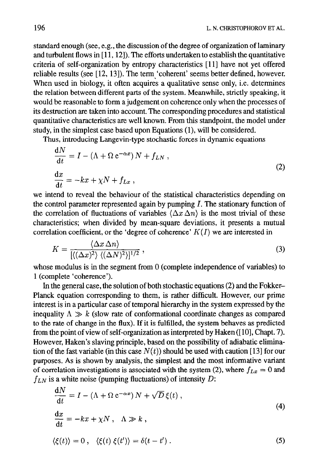standard enough (see, e.g., the discussion of the degree of organization of laminary and turbulent flows in [11, 12]). The efforts undertaken to establish the quantitative criteria of self-organization by entropy characteristics [11] have not yet offered reliable results (see [12, 13]). The term 'coherent' seems better defined, however. When used in biology, it often acquires a qualitative sense only, i.e. determines the relation between different parts of the system. Meanwhile, strictly speaking, it would be reasonable to form a judgement on coherence only when the processes of its destruction are taken into account. The corresponding procedures and statistical quantitative characteristics are well known. From this standpoint, the model under study, in the simplest case based upon Equations (1), will be considered.

Thus, introducing Langevin-type stochastic forces in dynamic equations

$$
\frac{dN}{dt} = I - (\Lambda + \Omega e^{-\alpha x}) N + f_{LN} ,
$$
  

$$
\frac{dx}{dt} = -kx + \chi N + f_{Lx} ,
$$
 (2)

we intend to reveal the behaviour of the statistical characteristics depending on the control parameter represented again by pumping  $I$ . The stationary function of the correlation of fluctuations of variables  $\langle \Delta x \, \Delta n \rangle$  is the most trivial of these characteristics; when divided by mean-square deviations, it presents a mutual correlation coefficient, or the 'degree of coherence'  $K(I)$  we are interested in

$$
K = \frac{\langle \Delta x \, \Delta n \rangle}{\left[ \langle (\Delta x)^2 \rangle \, \langle (\Delta N)^2 \rangle \right]^{1/2}} \,, \tag{3}
$$

whose modulus is in the segment from 0 (complete independence of variables) to 1 (complete 'coherence').

In the general case, the solution of both stochastic equations (2) and the Fokker-Planck equation corresponding to them, is rather difficult. However, our prime interest is in a particular case of temporal hierarchy in the system expressed by the inequality  $\Lambda \gg k$  (slow rate of conformational coordinate changes as compared to the rate of change in the flux). If it is fulfilled, the system behaves as predicted from the point of view of self-organization as interpreted by Haken ([10], Chapt. 7). However, Haken's slaving principle, based on the possibility of adiabatic elimination of the fast variable (in this case  $N(t)$ ) should be used with caution [13] for our purposes. As is shown by analysis, the simplest and the most informative variant of correlation investigations is associated with the system (2), where  $f_{Lx} = 0$  and  $\mathcal{L}$  is a white noise (sumping fluctuations) of intensity  $\mathcal{D}$ :

$$
\frac{dN}{dt} = I - (\Lambda + \Omega e^{-\alpha x}) N + \sqrt{D} \xi(t),
$$
\n
$$
\frac{dx}{dt} = -kx + \chi N, \quad \Lambda \gg k,
$$
\n
$$
\langle \xi(t) \rangle = 0, \quad \langle \xi(t) \xi(t') \rangle = \delta(t - t').
$$
\n(5)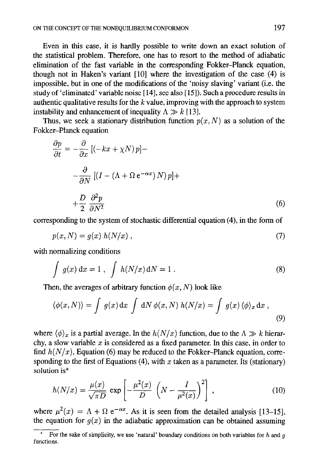Even in this case, it is hardly possible to write down an exact solution of the statistical problem. Therefore, one has to resort to the method of adiabatic elimination of the fast variable in the corresponding Fokker-Planck equation, though not in Haken's variant [lo] where the investigation of the case (4) is impossible, but in one of the modifications of the 'noisy slaving' variant (i.e. the study of 'eliminated' variable noise [ 141, see also [ 151). Such a procedure results in authentic qualitative results for the  $k$  value, improving with the approach to system instability and enhancement of inequality  $\Lambda \gg k$  [13].

Thus, we seek a stationary distribution function  $p(x, N)$  as a solution of the Fokker-Planck equation

$$
\frac{\partial p}{\partial t} = -\frac{\partial}{\partial x} \left[ (-kx + \chi N) p \right] -
$$

$$
-\frac{\partial}{\partial N} \left[ (I - (\Lambda + \Omega e^{-\alpha x}) N) p \right] +
$$

$$
+\frac{D}{2} \frac{\partial^2 p}{\partial N^2}
$$
(6)

corresponding to the system of stochastic differential equation (4), in the form of

$$
p(x,N) = g(x) h(N/x) , \qquad (7)
$$

with normalizing conditions

$$
\int g(x) dx = 1, \int h(N/x) dN = 1.
$$
\n(8)

Then, the averages of arbitrary function  $\phi(x, N)$  look like

$$
\langle \phi(x, N) \rangle = \int g(x) dx \int dN \phi(x, N) h(N/x) = \int g(x) \langle \phi \rangle_x dx , \tag{9}
$$

where  $\langle \phi \rangle_x$  is a partial average. In the  $h(N/x)$  function, due to the  $\Lambda \gg k$  hierarchy, a slow variable  $x$  is considered as a fixed parameter. In this case, in order to find  $h(N/x)$ , Equation (6) may be reduced to the Fokker-Planck equation, corresponding to the first of Equations (4), with x taken as a parameter. Its (stationary) solution is\*

$$
h(N/x) = \frac{\mu(x)}{\sqrt{\pi D}} \exp\left[-\frac{\mu^2(x)}{D} \left(N - \frac{I}{\mu^2(x)}\right)^2\right],
$$
 (10)

where  $\mu^2(x) = \Lambda + \Omega e^{-\alpha x}$ . As it is seen from the detailed analysis [13-15], the equation for  $g(x)$  in the adiabatic approximation can be obtained assuming

For the sake of simplicity, we use 'natural' boundary conditions on both variables for h and  $q$ functions.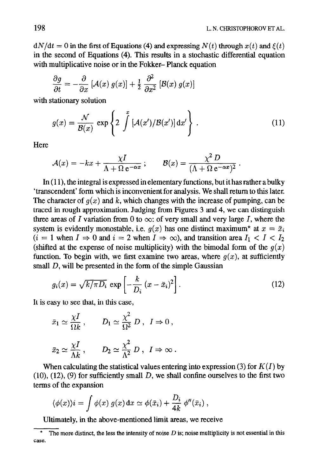$dN/dt = 0$  in the first of Equations (4) and expressing  $N(t)$  through  $x(t)$  and  $\xi(t)$ in the second of Equations (4). This results in a stochastic differential equation with multiplicative noise or in the Fokker-Planck equation

$$
\frac{\partial g}{\partial t} = -\frac{\partial}{\partial x} \left[ \mathcal{A}(x) g(x) \right] + \frac{1}{2} \frac{\partial^2}{\partial x^2} \left[ \mathcal{B}(x) g(x) \right]
$$

with stationary solution

$$
g(x) = \frac{\mathcal{N}}{\mathcal{B}(x)} \exp\left\{2 \int_{-\infty}^{x} \left[\mathcal{A}(x')/\mathcal{B}(x')\right] \mathrm{d}x'\right\} \,. \tag{11}
$$

**Here** 

$$
\mathcal{A}(x) = -kx + \frac{\chi I}{\Lambda + \Omega e^{-\alpha x}}; \qquad \mathcal{B}(x) = \frac{\chi^2 D}{(\Lambda + \Omega e^{-\alpha x})^2}.
$$

In  $(11)$ , the integral is expressed in elementary functions, but it has rather a bulky 'transcendent' form which is inconvenient for analysis. We shall return to this later. The character of  $q(x)$  and k, which changes with the increase of pumping, can be traced in rough approximation. Judging from Figures 3 and 4, we can distinguish three areas of I variation from 0 to  $\infty$ : of very small and very large I, where the system is evidently monostable, i.e.  $q(x)$  has one distinct maximum<sup>\*</sup> at  $x = \bar{x}_i$  $(i = 1$  when  $I \Rightarrow 0$  and  $i = 2$  when  $I \Rightarrow \infty$ ), and transition area  $I_1 < I < I_2$ (shifted at the expense of noise multiplicity) with the bimodal form of the  $q(x)$ function. To begin with, we first examine two areas, where  $q(x)$ , at sufficiently small D, will be presented in the form of the simple Gaussian

$$
g_i(x) = \sqrt{k/\pi D_i} \, \exp\left[-\frac{k}{D_i} \left(x - \bar{x}_i\right)^2\right].\tag{12}
$$

It is easy to see that, in this case,

$$
\bar{x}_1 \simeq \frac{\chi I}{\Omega k}
$$
,  $D_1 \simeq \frac{\chi^2}{\Omega^2} D$ ,  $I \Rightarrow 0$ ,  
 $\bar{x}_2 \simeq \frac{\chi I}{\Lambda k}$ ,  $D_2 \simeq \frac{\chi^2}{\Lambda^2} D$ ,  $I \Rightarrow \infty$ .

When calculating the statistical values entering into expression (3) for  $K(I)$  by  $(10)$ ,  $(12)$ ,  $(9)$  for sufficiently small D, we shall confine ourselves to the first two terms of the expansion

$$
\langle \phi(x) \rangle i = \int \phi(x) g(x) dx \simeq \phi(\bar{x}_i) + \frac{D_i}{4k} \phi''(\bar{x}_i) ,
$$

Ultimately, in the above-mentioned limit areas, we receive

The more distinct, the less the intensity of noise  $D$  is; noise multiplicity is not essential in this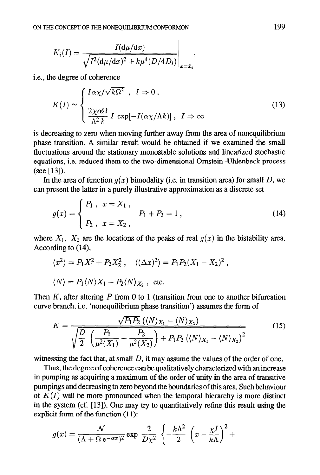$$
K_i(I) = \frac{I(\mathrm{d}\mu/\mathrm{d}x)}{\sqrt{I^2(\mathrm{d}\mu/\mathrm{d}x)^2 + k\mu^4(D/4D_i)}}\Bigg|_{x=\bar{x}_i},
$$

i.e., the degree of coherence

$$
K(I) \simeq \begin{cases} I\alpha \chi/\sqrt{k\Omega^3} , & I \Rightarrow 0 ,\\ \frac{2\chi \alpha \Omega}{\Lambda^2 k} & I \exp[-I(\alpha \chi/\Lambda k)] , & I \Rightarrow \infty \end{cases}
$$
(13)

 $\mathbf{I}$ 

is decreasing to zero when moving further away from the area of nonequilibrium phase transition. A similar result would be obtained if we examined the small fluctuations around the stationary monostable solutions and linearized stochastic equations, i.e. reduced them to the two-dimensional Omstein-Uhlenbeck process (see [13]).

In the area of function  $g(x)$  bimodality (i.e. in transition area) for small D, we can present the latter in a purely illustrative approximation as a discrete set

$$
g(x) = \begin{cases} P_1, & x = X_1, \\ P_2, & x = X_2, \end{cases} \qquad P_1 + P_2 = 1 , \tag{14}
$$

where  $X_1$ ,  $X_2$  are the locations of the peaks of real  $g(x)$  in the bistability area. According to (14),

$$
\langle x^2 \rangle = P_1 X_1^2 + P_2 X_2^2, \quad \langle (\Delta x)^2 \rangle = P_1 P_2 (X_1 - X_2)^2,
$$
  

$$
\langle N \rangle = P_1 \langle N \rangle X_1 + P_2 \langle N \rangle X_2, \text{ etc.}
$$

Then K, after altering P from 0 to 1 (transition from one to another bifurcation curve branch, i.e. 'nonequilibrium phase transition') assumes the form of

$$
K = \frac{\sqrt{P_1 P_2} ((N)_{X_1} - \langle N \rangle_{X_2})}{\sqrt{\frac{D}{2} \left( \frac{P_1}{\mu^2(X_1)} + \frac{P_2}{\mu^2(X_2)} \right) + P_1 P_2 ((N)_{X_1} - \langle N \rangle_{X_2})^2}}
$$
(15)

witnessing the fact that, at small  $D$ , it may assume the values of the order of one.

Thus, the degree of coherence can be qualitatively characterized with an increase in pumping as acquiring a maximum of the order of unity in the area of transitive pumpings and decreasing to zero beyond the boundaries of this area Such behaviour of  $K(I)$  will be more pronounced when the temporal hierarchy is more distinct in the system (cf. [13]). One may try to quantitatively refine this result using the explicit form of the function (11):

$$
g(x) = \frac{\mathcal{N}}{(\Lambda + \Omega e^{-\alpha x})^2} \exp \frac{2}{D\chi^2} \left\{-\frac{k\Lambda^2}{2} \left(x - \frac{\chi I}{k\Lambda}\right)^2 + \right\}
$$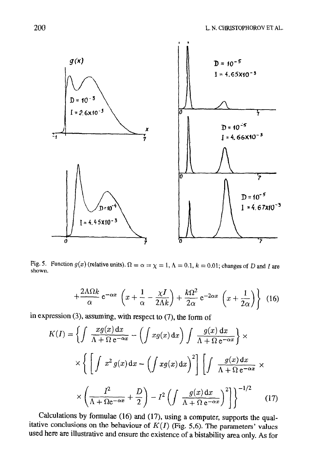

Fig. 5. Function  $g(x)$  (relative units).  $0 = \alpha = x - 1$ ,  $A = 0.1$ ,  $k = 0.01$ ; changes of D and I are shown.

$$
+\frac{2\Lambda\Omega k}{\alpha}\,\mathrm{e}^{-\alpha x}\,\left(x+\frac{1}{\alpha}-\frac{\chi I}{2\Lambda k}\right)+\frac{k\Omega^2}{2\alpha}\,\mathrm{e}^{-2\alpha x}\,\left(x+\frac{1}{2\alpha}\right)\bigg\}\tag{16}
$$

in expression (3), assuming, with respect to  $(7)$ , the form of

$$
K(I) = \left\{ \int \frac{x g(x) dx}{\Lambda + \Omega e^{-\alpha x}} - \left( \int x g(x) dx \right) \int \frac{g(x) dx}{\Lambda + \Omega e^{-\alpha x}} \right\} \times \left\{ \left[ \int x^2 g(x) dx - \left( \int x g(x) dx \right)^2 \right] \left[ \int \frac{g(x) dx}{\Lambda + \Omega e^{-\alpha x}} \right] \times \left( \frac{I^2}{\Lambda + \Omega e^{-\alpha x}} + \frac{D}{2} \right) - I^2 \left( \int \frac{g(x) dx}{\Lambda + \Omega e^{-\alpha x}} \right)^2 \right] \right\}^{-1/2}
$$
(17)

Calculations by formulae  $(16)$  and  $(17)$ , using a computer, supports the qualitative conclusions on the behaviour of  $K(I)$  (Fig. 5,6). The parameters' values used here are illustrative and ensure the existence of a bistability area only. As for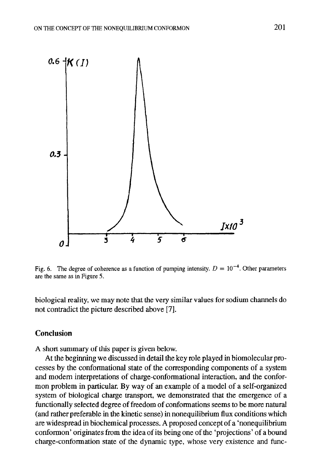

Fig. 6. The degree of coherence as a function of pumping intensity.  $D = 10^{-4}$ . Other parameters are the same as in Figure 5.

biological reality, we may note that the very similar values for sodium channels do not contradict the picture described above [7].

## Conclusion

A short summary of this paper is given below.

At the beginning we discussed in detail the key role played in biomolecular processes by the conformational state of the corresponding components of a system and modem interpretations of charge-conformational interaction, and the conformon problem in particular. By way of an example of a model of a self-organized system of biological charge transport, we demonstrated that the emergence of a functionally selected degree of freedom of conformations seems to be more natural (and rather preferable in the kinetic sense) in nonequilibrium flux conditions which are widespread in biochemical processes. A proposed concept of a 'nonequilibrium conformon' originates from the idea of its being one of the 'projections' of a bound charge-conformation state of the dynamic type, whose very existence and func